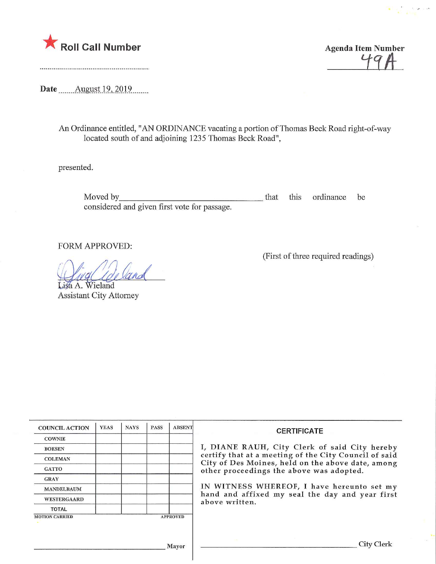

 $49A$ 

Date **August** 19, 2019

An Ordinance entitled, "AN ORDINANCE vacating a portion of Thomas Beck Road right-of-way located south of and adjoining 1235 Thomas Beck Road",

presented.

Moved by\_ that this ordinance be considered and given first vote for passage.

FORM APPROVED:

 $\sqrt{1}$  /"

Lisa A. Wieland Assistant City Attorney (First of three required readings)

| <b>COUNCIL ACTION</b> | <b>YEAS</b> | <b>NAYS</b> | <b>PASS</b> | <b>ABSENT</b>   | <b>CERTIFICATE</b>                                                                                                                                                                                      |  |  |
|-----------------------|-------------|-------------|-------------|-----------------|---------------------------------------------------------------------------------------------------------------------------------------------------------------------------------------------------------|--|--|
| <b>COWNIE</b>         |             |             |             |                 |                                                                                                                                                                                                         |  |  |
| <b>BOESEN</b>         |             |             |             |                 | I, DIANE RAUH, City Clerk of said City hereby<br>certify that at a meeting of the City Council of said<br>City of Des Moines, held on the above date, among<br>other proceedings the above was adopted. |  |  |
| <b>COLEMAN</b>        |             |             |             |                 |                                                                                                                                                                                                         |  |  |
| <b>GATTO</b>          |             |             |             |                 |                                                                                                                                                                                                         |  |  |
| <b>GRAY</b>           |             |             |             |                 |                                                                                                                                                                                                         |  |  |
| <b>MANDELBAUM</b>     |             |             |             |                 | IN WITNESS WHEREOF, I have hereunto set my<br>hand and affixed my seal the day and year first<br>above written.                                                                                         |  |  |
| <b>WESTERGAARD</b>    |             |             |             |                 |                                                                                                                                                                                                         |  |  |
| <b>TOTAL</b>          |             |             |             |                 |                                                                                                                                                                                                         |  |  |
| <b>MOTION CARRIED</b> |             |             |             | <b>APPROVED</b> |                                                                                                                                                                                                         |  |  |
|                       |             |             |             |                 |                                                                                                                                                                                                         |  |  |
|                       |             |             |             |                 |                                                                                                                                                                                                         |  |  |
| Mayor                 |             |             |             |                 | <b>City Clerk</b>                                                                                                                                                                                       |  |  |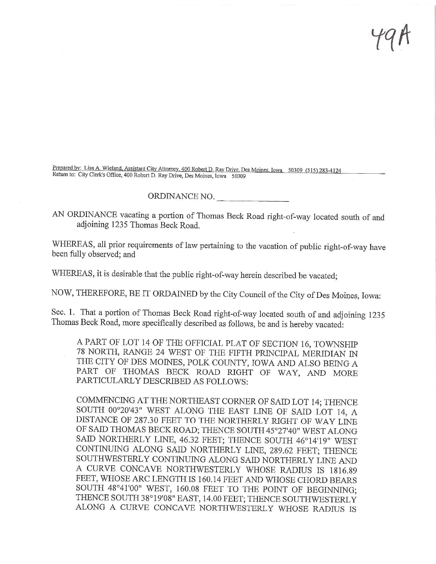t9A

Prepared by: Lisa A. Wieland, Assistant City Attorney, 400 Robert D. Ray Drive, Des Moines, Iowa 50309 (515) 283-4124 Return to; City Clerk's Office, 400 Robert D, Ray Drive, Des Moines, Iowa 50309

## ORDINANCE NO.

AN ORDINANCE vacating a portion of Thomas Beck Road right-of-way located south of and adjoining 1235 Thomas Beck Road.

WHEREAS, all prior requirements of law pertaining to the vacation of public right-of-way have been fully observed; and

WHEREAS, it is desirable that the public right-of-way herein described be vacated;

NOW, THEREFORE, BE IT ORDAINED by the City Council of the City of Des Moines, Iowa:

Sec. 1. That a portion of Thomas Beck Road right-of-way located south of and adjoining 1235 Thomas Beck Road, more specifically described as follows, be and is hereby vacated:

A PART OF LOT 14 OF THE OFFICIAL PLAT OF SECTION 16, TOWNSHIP 78 NORTH, RANGE 24 WEST OF THE FIFTH PRINCIPAL MERIDIAN IN THE CITY OF DES MOINES, POLK COUNTY, IOWA AND ALSO BEING A PART OF THOMAS BECK ROAD RIGHT OF WAY, AND MORE PARTICULARLY DESCRIBED AS FOLLOWS:

COMMENCING AT THE NORTHEAST CORNER OF SAID LOT 14; THENCE SOUTH 00°20'43" WEST ALONG THE EAST LINE OF SAID LOT 14, A DISTANCE OF 287.30 FEET TO THE NORTHERLY RIGHT OF WAY LINE OF SAID THOMAS BECK ROAD; THENCE SOUTH 45°27'40" WEST ALONG SAID NORTHERLY LINE, 46.32 FEET; THENCE SOUTH 46°14!19" WEST CONTINUING ALONG SAID NORTHERLY LINE, 289.62 FEET; THENCE SOUTHWESTERLY CONTINUING ALONG SAID NORTHERLY LINE AND A CURVE CONCAVE NORTHWESTERLY WHOSE RADIUS IS 1816.89 FEET, WHOSE ARC LENGTH IS 160.14 FEET AND WHOSE CHORD BEARS SOUTH 48°41'00" WEST, 160.08 FEET TO THE POINT OF BEGINNING; THENCE SOUTH 38°19'08" EAST, 14.00 FEET; THENCE SOUTHWESTERLY ALONG A CURVE CONCAVE NORTHWESTERLY WHOSE RADIUS IS